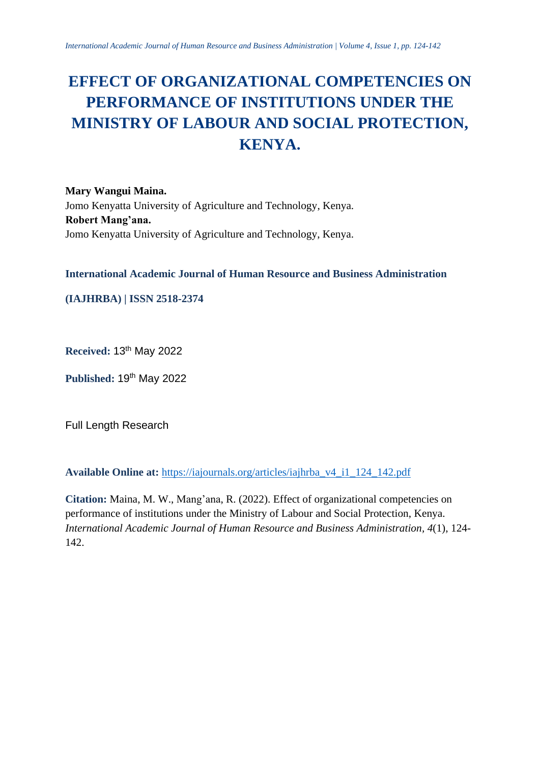# **EFFECT OF ORGANIZATIONAL COMPETENCIES ON PERFORMANCE OF INSTITUTIONS UNDER THE MINISTRY OF LABOUR AND SOCIAL PROTECTION, KENYA.**

**Mary Wangui Maina.** Jomo Kenyatta University of Agriculture and Technology, Kenya. **Robert Mang'ana.** Jomo Kenyatta University of Agriculture and Technology, Kenya.

**International Academic Journal of Human Resource and Business Administration**

**(IAJHRBA) | ISSN 2518-2374**

**Received:** 13 th May 2022

Published: 19<sup>th</sup> May 2022

Full Length Research

**Available Online at:** [https://iajournals.org/articles/iajhrba\\_v4\\_i1\\_124\\_142.pdf](https://iajournals.org/articles/iajhrba_v4_i1_124_142.pdf)

**Citation:** Maina, M. W., Mang'ana, R. (2022). Effect of organizational competencies on performance of institutions under the Ministry of Labour and Social Protection, Kenya. *International Academic Journal of Human Resource and Business Administration, 4*(1), 124- 142.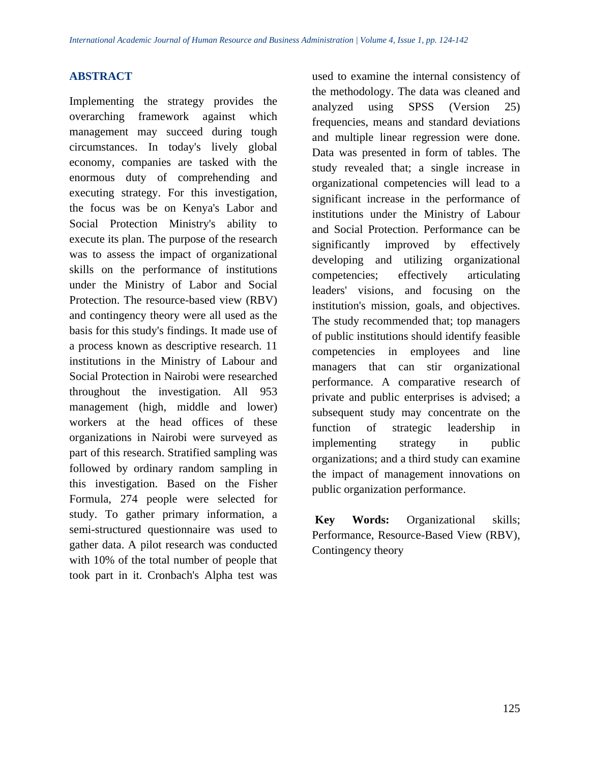## **ABSTRACT**

Implementing the strategy provides the overarching framework against which management may succeed during tough circumstances. In today's lively global economy, companies are tasked with the enormous duty of comprehending and executing strategy. For this investigation, the focus was be on Kenya's Labor and Social Protection Ministry's ability to execute its plan. The purpose of the research was to assess the impact of organizational skills on the performance of institutions under the Ministry of Labor and Social Protection. The resource-based view (RBV) and contingency theory were all used as the basis for this study's findings. It made use of a process known as descriptive research. 11 institutions in the Ministry of Labour and Social Protection in Nairobi were researched throughout the investigation. All 953 management (high, middle and lower) workers at the head offices of these organizations in Nairobi were surveyed as part of this research. Stratified sampling was followed by ordinary random sampling in this investigation. Based on the Fisher Formula, 274 people were selected for study. To gather primary information, a semi-structured questionnaire was used to gather data. A pilot research was conducted with 10% of the total number of people that took part in it. Cronbach's Alpha test was

used to examine the internal consistency of the methodology. The data was cleaned and analyzed using SPSS (Version 25) frequencies, means and standard deviations and multiple linear regression were done. Data was presented in form of tables. The study revealed that; a single increase in organizational competencies will lead to a significant increase in the performance of institutions under the Ministry of Labour and Social Protection. Performance can be significantly improved by effectively developing and utilizing organizational competencies; effectively articulating leaders' visions, and focusing on the institution's mission, goals, and objectives. The study recommended that; top managers of public institutions should identify feasible competencies in employees and line managers that can stir organizational performance. A comparative research of private and public enterprises is advised; a subsequent study may concentrate on the function of strategic leadership in implementing strategy in public organizations; and a third study can examine the impact of management innovations on public organization performance.

**Key Words:** Organizational skills; Performance, Resource-Based View (RBV), Contingency theory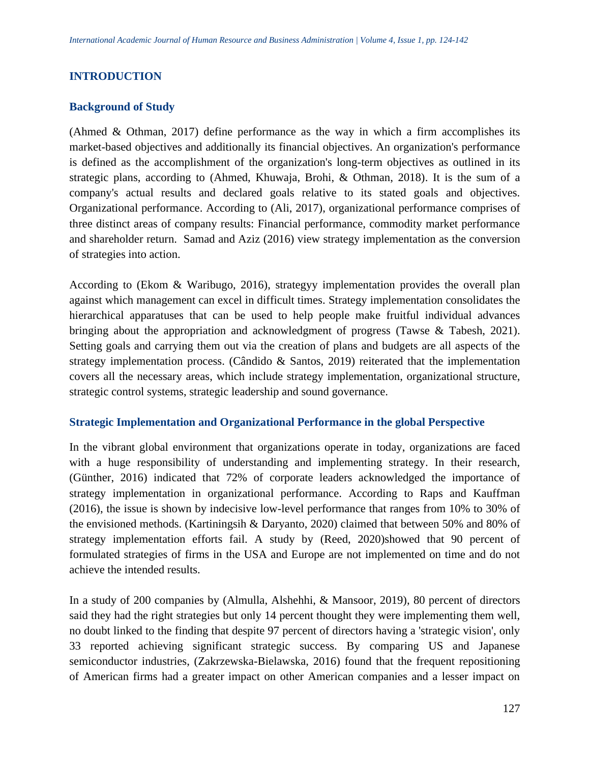## **INTRODUCTION**

#### **Background of Study**

(Ahmed & Othman, 2017) define performance as the way in which a firm accomplishes its market-based objectives and additionally its financial objectives. An organization's performance is defined as the accomplishment of the organization's long-term objectives as outlined in its strategic plans, according to (Ahmed, Khuwaja, Brohi, & Othman, 2018). It is the sum of a company's actual results and declared goals relative to its stated goals and objectives. Organizational performance. According to (Ali, 2017), organizational performance comprises of three distinct areas of company results: Financial performance, commodity market performance and shareholder return. Samad and Aziz (2016) view strategy implementation as the conversion of strategies into action.

According to (Ekom & Waribugo, 2016), strategyy implementation provides the overall plan against which management can excel in difficult times. Strategy implementation consolidates the hierarchical apparatuses that can be used to help people make fruitful individual advances bringing about the appropriation and acknowledgment of progress (Tawse & Tabesh, 2021). Setting goals and carrying them out via the creation of plans and budgets are all aspects of the strategy implementation process. (Cândido & Santos, 2019) reiterated that the implementation covers all the necessary areas, which include strategy implementation, organizational structure, strategic control systems, strategic leadership and sound governance.

#### **Strategic Implementation and Organizational Performance in the global Perspective**

In the vibrant global environment that organizations operate in today, organizations are faced with a huge responsibility of understanding and implementing strategy. In their research, (Günther, 2016) indicated that 72% of corporate leaders acknowledged the importance of strategy implementation in organizational performance. According to Raps and Kauffman (2016), the issue is shown by indecisive low-level performance that ranges from 10% to 30% of the envisioned methods. (Kartiningsih & Daryanto, 2020) claimed that between 50% and 80% of strategy implementation efforts fail. A study by (Reed, 2020)showed that 90 percent of formulated strategies of firms in the USA and Europe are not implemented on time and do not achieve the intended results.

In a study of 200 companies by (Almulla, Alshehhi, & Mansoor, 2019), 80 percent of directors said they had the right strategies but only 14 percent thought they were implementing them well, no doubt linked to the finding that despite 97 percent of directors having a 'strategic vision', only 33 reported achieving significant strategic success. By comparing US and Japanese semiconductor industries, (Zakrzewska-Bielawska, 2016) found that the frequent repositioning of American firms had a greater impact on other American companies and a lesser impact on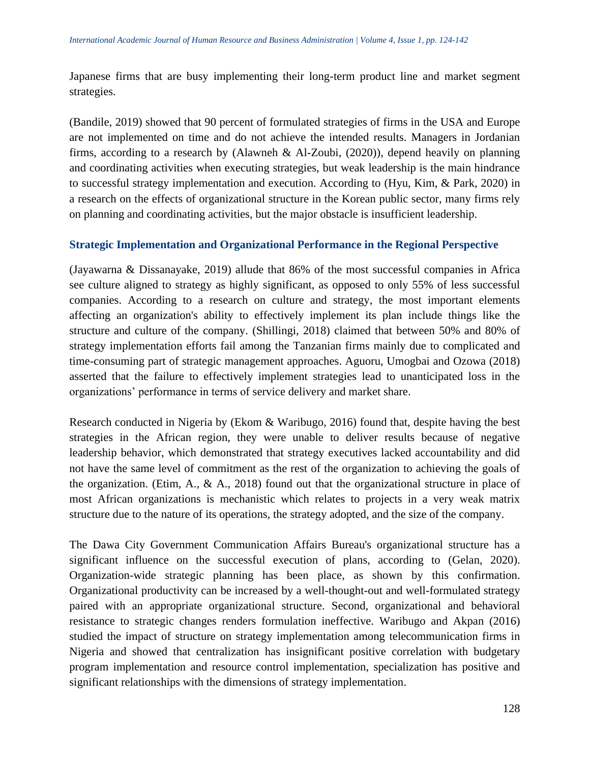Japanese firms that are busy implementing their long-term product line and market segment strategies.

(Bandile, 2019) showed that 90 percent of formulated strategies of firms in the USA and Europe are not implemented on time and do not achieve the intended results. Managers in Jordanian firms, according to a research by (Alawneh & Al-Zoubi, (2020)), depend heavily on planning and coordinating activities when executing strategies, but weak leadership is the main hindrance to successful strategy implementation and execution. According to (Hyu, Kim, & Park, 2020) in a research on the effects of organizational structure in the Korean public sector, many firms rely on planning and coordinating activities, but the major obstacle is insufficient leadership.

### **Strategic Implementation and Organizational Performance in the Regional Perspective**

(Jayawarna & Dissanayake, 2019) allude that 86% of the most successful companies in Africa see culture aligned to strategy as highly significant, as opposed to only 55% of less successful companies. According to a research on culture and strategy, the most important elements affecting an organization's ability to effectively implement its plan include things like the structure and culture of the company. (Shillingi, 2018) claimed that between 50% and 80% of strategy implementation efforts fail among the Tanzanian firms mainly due to complicated and time-consuming part of strategic management approaches. Aguoru, Umogbai and Ozowa (2018) asserted that the failure to effectively implement strategies lead to unanticipated loss in the organizations' performance in terms of service delivery and market share.

Research conducted in Nigeria by (Ekom & Waribugo, 2016) found that, despite having the best strategies in the African region, they were unable to deliver results because of negative leadership behavior, which demonstrated that strategy executives lacked accountability and did not have the same level of commitment as the rest of the organization to achieving the goals of the organization. (Etim, A., & A., 2018) found out that the organizational structure in place of most African organizations is mechanistic which relates to projects in a very weak matrix structure due to the nature of its operations, the strategy adopted, and the size of the company.

The Dawa City Government Communication Affairs Bureau's organizational structure has a significant influence on the successful execution of plans, according to (Gelan, 2020). Organization-wide strategic planning has been place, as shown by this confirmation. Organizational productivity can be increased by a well-thought-out and well-formulated strategy paired with an appropriate organizational structure. Second, organizational and behavioral resistance to strategic changes renders formulation ineffective. Waribugo and Akpan (2016) studied the impact of structure on strategy implementation among telecommunication firms in Nigeria and showed that centralization has insignificant positive correlation with budgetary program implementation and resource control implementation, specialization has positive and significant relationships with the dimensions of strategy implementation.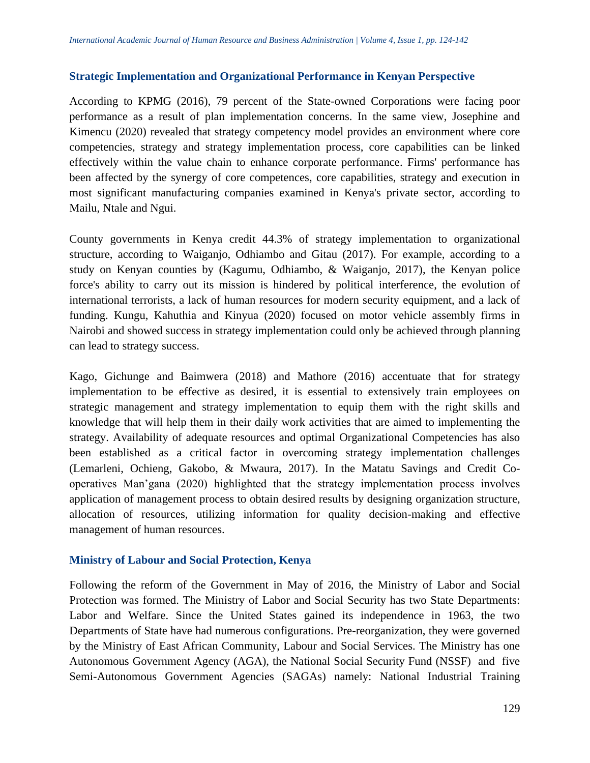## **Strategic Implementation and Organizational Performance in Kenyan Perspective**

According to KPMG (2016), 79 percent of the State-owned Corporations were facing poor performance as a result of plan implementation concerns. In the same view, Josephine and Kimencu (2020) revealed that strategy competency model provides an environment where core competencies, strategy and strategy implementation process, core capabilities can be linked effectively within the value chain to enhance corporate performance. Firms' performance has been affected by the synergy of core competences, core capabilities, strategy and execution in most significant manufacturing companies examined in Kenya's private sector, according to Mailu, Ntale and Ngui.

County governments in Kenya credit 44.3% of strategy implementation to organizational structure, according to Waiganjo, Odhiambo and Gitau (2017). For example, according to a study on Kenyan counties by (Kagumu, Odhiambo, & Waiganjo, 2017), the Kenyan police force's ability to carry out its mission is hindered by political interference, the evolution of international terrorists, a lack of human resources for modern security equipment, and a lack of funding. Kungu, Kahuthia and Kinyua (2020) focused on motor vehicle assembly firms in Nairobi and showed success in strategy implementation could only be achieved through planning can lead to strategy success.

Kago, Gichunge and Baimwera (2018) and Mathore (2016) accentuate that for strategy implementation to be effective as desired, it is essential to extensively train employees on strategic management and strategy implementation to equip them with the right skills and knowledge that will help them in their daily work activities that are aimed to implementing the strategy. Availability of adequate resources and optimal Organizational Competencies has also been established as a critical factor in overcoming strategy implementation challenges (Lemarleni, Ochieng, Gakobo, & Mwaura, 2017). In the Matatu Savings and Credit Cooperatives Man'gana (2020) highlighted that the strategy implementation process involves application of management process to obtain desired results by designing organization structure, allocation of resources, utilizing information for quality decision-making and effective management of human resources.

### **Ministry of Labour and Social Protection, Kenya**

Following the reform of the Government in May of 2016, the Ministry of Labor and Social Protection was formed. The Ministry of Labor and Social Security has two State Departments: Labor and Welfare. Since the United States gained its independence in 1963, the two Departments of State have had numerous configurations. Pre-reorganization, they were governed by the Ministry of East African Community, Labour and Social Services. The Ministry has one Autonomous Government Agency (AGA), the National Social Security Fund (NSSF) and five Semi-Autonomous Government Agencies (SAGAs) namely: National Industrial Training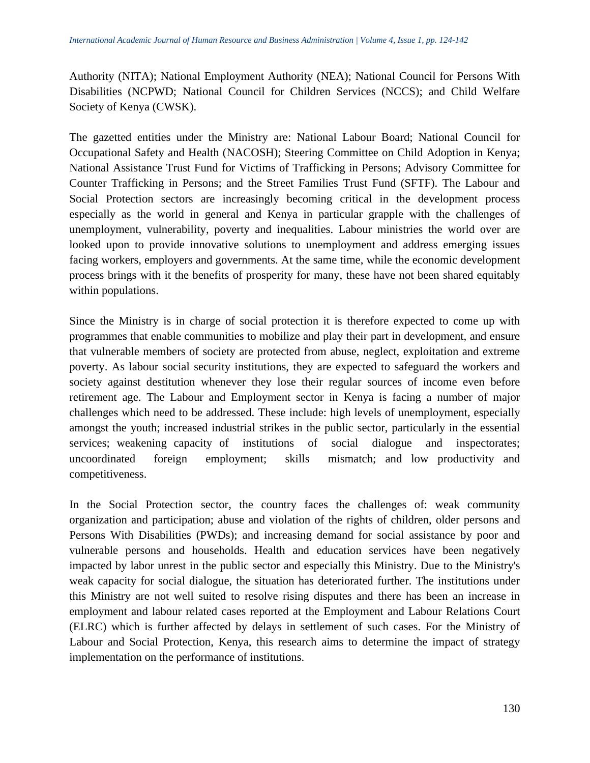Authority (NITA); National Employment Authority (NEA); National Council for Persons With Disabilities (NCPWD; National Council for Children Services (NCCS); and Child Welfare Society of Kenya (CWSK).

The gazetted entities under the Ministry are: National Labour Board; National Council for Occupational Safety and Health (NACOSH); Steering Committee on Child Adoption in Kenya; National Assistance Trust Fund for Victims of Trafficking in Persons; Advisory Committee for Counter Trafficking in Persons; and the Street Families Trust Fund (SFTF). The Labour and Social Protection sectors are increasingly becoming critical in the development process especially as the world in general and Kenya in particular grapple with the challenges of unemployment, vulnerability, poverty and inequalities. Labour ministries the world over are looked upon to provide innovative solutions to unemployment and address emerging issues facing workers, employers and governments. At the same time, while the economic development process brings with it the benefits of prosperity for many, these have not been shared equitably within populations.

Since the Ministry is in charge of social protection it is therefore expected to come up with programmes that enable communities to mobilize and play their part in development, and ensure that vulnerable members of society are protected from abuse, neglect, exploitation and extreme poverty. As labour social security institutions, they are expected to safeguard the workers and society against destitution whenever they lose their regular sources of income even before retirement age. The Labour and Employment sector in Kenya is facing a number of major challenges which need to be addressed. These include: high levels of unemployment, especially amongst the youth; increased industrial strikes in the public sector, particularly in the essential services; weakening capacity of institutions of social dialogue and inspectorates; uncoordinated foreign employment; skills mismatch; and low productivity and competitiveness.

In the Social Protection sector, the country faces the challenges of: weak community organization and participation; abuse and violation of the rights of children, older persons and Persons With Disabilities (PWDs); and increasing demand for social assistance by poor and vulnerable persons and households. Health and education services have been negatively impacted by labor unrest in the public sector and especially this Ministry. Due to the Ministry's weak capacity for social dialogue, the situation has deteriorated further. The institutions under this Ministry are not well suited to resolve rising disputes and there has been an increase in employment and labour related cases reported at the Employment and Labour Relations Court (ELRC) which is further affected by delays in settlement of such cases. For the Ministry of Labour and Social Protection, Kenya, this research aims to determine the impact of strategy implementation on the performance of institutions.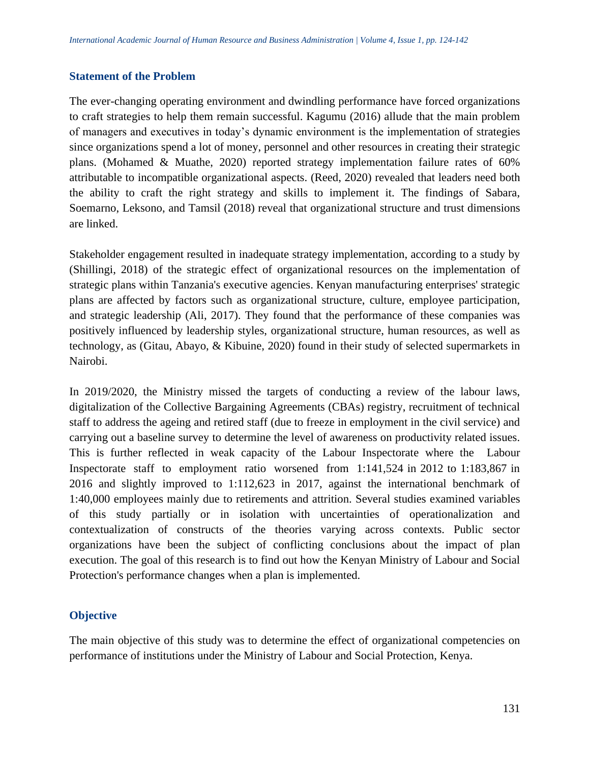#### **Statement of the Problem**

The ever-changing operating environment and dwindling performance have forced organizations to craft strategies to help them remain successful. Kagumu (2016) allude that the main problem of managers and executives in today's dynamic environment is the implementation of strategies since organizations spend a lot of money, personnel and other resources in creating their strategic plans. (Mohamed & Muathe, 2020) reported strategy implementation failure rates of 60% attributable to incompatible organizational aspects. (Reed, 2020) revealed that leaders need both the ability to craft the right strategy and skills to implement it. The findings of Sabara, Soemarno, Leksono, and Tamsil (2018) reveal that organizational structure and trust dimensions are linked.

Stakeholder engagement resulted in inadequate strategy implementation, according to a study by (Shillingi, 2018) of the strategic effect of organizational resources on the implementation of strategic plans within Tanzania's executive agencies. Kenyan manufacturing enterprises' strategic plans are affected by factors such as organizational structure, culture, employee participation, and strategic leadership (Ali, 2017). They found that the performance of these companies was positively influenced by leadership styles, organizational structure, human resources, as well as technology, as (Gitau, Abayo, & Kibuine, 2020) found in their study of selected supermarkets in Nairobi.

In 2019/2020, the Ministry missed the targets of conducting a review of the labour laws, digitalization of the Collective Bargaining Agreements (CBAs) registry, recruitment of technical staff to address the ageing and retired staff (due to freeze in employment in the civil service) and carrying out a baseline survey to determine the level of awareness on productivity related issues. This is further reflected in weak capacity of the Labour Inspectorate where the Labour Inspectorate staff to employment ratio worsened from 1:141,524 in 2012 to 1:183,867 in 2016 and slightly improved to 1:112,623 in 2017, against the international benchmark of 1:40,000 employees mainly due to retirements and attrition. Several studies examined variables of this study partially or in isolation with uncertainties of operationalization and contextualization of constructs of the theories varying across contexts. Public sector organizations have been the subject of conflicting conclusions about the impact of plan execution. The goal of this research is to find out how the Kenyan Ministry of Labour and Social Protection's performance changes when a plan is implemented.

### **Objective**

The main objective of this study was to determine the effect of organizational competencies on performance of institutions under the Ministry of Labour and Social Protection, Kenya.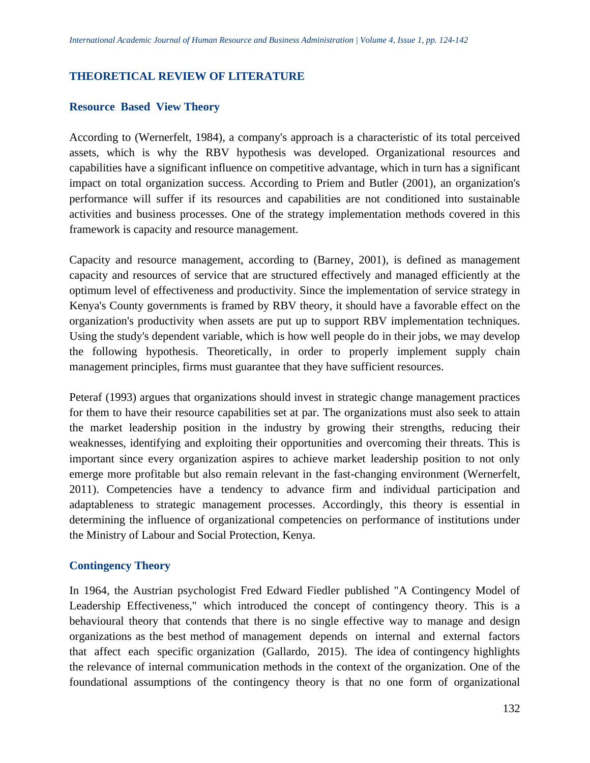## **THEORETICAL REVIEW OF LITERATURE**

#### **Resource Based View Theory**

According to (Wernerfelt, 1984), a company's approach is a characteristic of its total perceived assets, which is why the RBV hypothesis was developed. Organizational resources and capabilities have a significant influence on competitive advantage, which in turn has a significant impact on total organization success. According to Priem and Butler (2001), an organization's performance will suffer if its resources and capabilities are not conditioned into sustainable activities and business processes. One of the strategy implementation methods covered in this framework is capacity and resource management.

Capacity and resource management, according to (Barney, 2001), is defined as management capacity and resources of service that are structured effectively and managed efficiently at the optimum level of effectiveness and productivity. Since the implementation of service strategy in Kenya's County governments is framed by RBV theory, it should have a favorable effect on the organization's productivity when assets are put up to support RBV implementation techniques. Using the study's dependent variable, which is how well people do in their jobs, we may develop the following hypothesis. Theoretically, in order to properly implement supply chain management principles, firms must guarantee that they have sufficient resources.

Peteraf (1993) argues that organizations should invest in strategic change management practices for them to have their resource capabilities set at par. The organizations must also seek to attain the market leadership position in the industry by growing their strengths, reducing their weaknesses, identifying and exploiting their opportunities and overcoming their threats. This is important since every organization aspires to achieve market leadership position to not only emerge more profitable but also remain relevant in the fast-changing environment (Wernerfelt, 2011). Competencies have a tendency to advance firm and individual participation and adaptableness to strategic management processes. Accordingly, this theory is essential in determining the influence of organizational competencies on performance of institutions under the Ministry of Labour and Social Protection, Kenya.

### **Contingency Theory**

In 1964, the Austrian psychologist Fred Edward Fiedler published "A Contingency Model of Leadership Effectiveness," which introduced the concept of contingency theory. This is a behavioural theory that contends that there is no single effective way to manage and design organizations as the best method of management depends on internal and external factors that affect each specific organization (Gallardo, 2015). The idea of contingency highlights the relevance of internal communication methods in the context of the organization. One of the foundational assumptions of the contingency theory is that no one form of organizational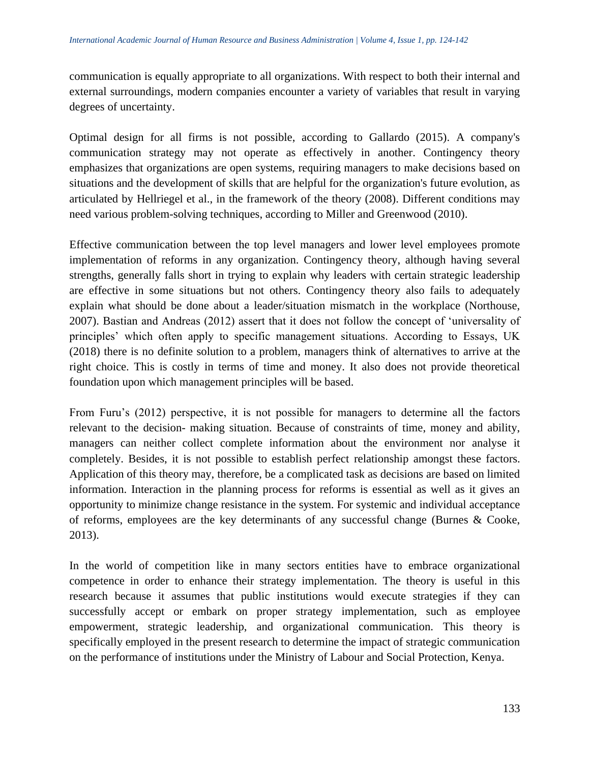communication is equally appropriate to all organizations. With respect to both their internal and external surroundings, modern companies encounter a variety of variables that result in varying degrees of uncertainty.

Optimal design for all firms is not possible, according to Gallardo (2015). A company's communication strategy may not operate as effectively in another. Contingency theory emphasizes that organizations are open systems, requiring managers to make decisions based on situations and the development of skills that are helpful for the organization's future evolution, as articulated by Hellriegel et al., in the framework of the theory (2008). Different conditions may need various problem-solving techniques, according to Miller and Greenwood (2010).

Effective communication between the top level managers and lower level employees promote implementation of reforms in any organization. Contingency theory, although having several strengths, generally falls short in trying to explain why leaders with certain strategic leadership are effective in some situations but not others. Contingency theory also fails to adequately explain what should be done about a leader/situation mismatch in the workplace (Northouse, 2007). Bastian and Andreas (2012) assert that it does not follow the concept of 'universality of principles' which often apply to specific management situations. According to Essays, UK (2018) there is no definite solution to a problem, managers think of alternatives to arrive at the right choice. This is costly in terms of time and money. It also does not provide theoretical foundation upon which management principles will be based.

From Furu's (2012) perspective, it is not possible for managers to determine all the factors relevant to the decision- making situation. Because of constraints of time, money and ability, managers can neither collect complete information about the environment nor analyse it completely. Besides, it is not possible to establish perfect relationship amongst these factors. Application of this theory may, therefore, be a complicated task as decisions are based on limited information. Interaction in the planning process for reforms is essential as well as it gives an opportunity to minimize change resistance in the system. For systemic and individual acceptance of reforms, employees are the key determinants of any successful change (Burnes & Cooke, 2013).

In the world of competition like in many sectors entities have to embrace organizational competence in order to enhance their strategy implementation. The theory is useful in this research because it assumes that public institutions would execute strategies if they can successfully accept or embark on proper strategy implementation, such as employee empowerment, strategic leadership, and organizational communication. This theory is specifically employed in the present research to determine the impact of strategic communication on the performance of institutions under the Ministry of Labour and Social Protection, Kenya.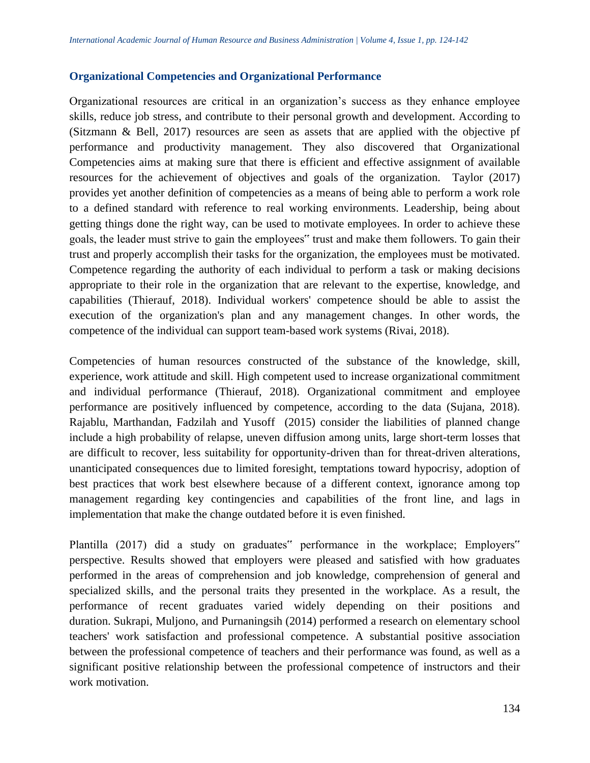### **Organizational Competencies and Organizational Performance**

Organizational resources are critical in an organization's success as they enhance employee skills, reduce job stress, and contribute to their personal growth and development. According to (Sitzmann & Bell, 2017) resources are seen as assets that are applied with the objective pf performance and productivity management. They also discovered that Organizational Competencies aims at making sure that there is efficient and effective assignment of available resources for the achievement of objectives and goals of the organization. Taylor (2017) provides yet another definition of competencies as a means of being able to perform a work role to a defined standard with reference to real working environments. Leadership, being about getting things done the right way, can be used to motivate employees. In order to achieve these goals, the leader must strive to gain the employees" trust and make them followers. To gain their trust and properly accomplish their tasks for the organization, the employees must be motivated. Competence regarding the authority of each individual to perform a task or making decisions appropriate to their role in the organization that are relevant to the expertise, knowledge, and capabilities (Thierauf, 2018). Individual workers' competence should be able to assist the execution of the organization's plan and any management changes. In other words, the competence of the individual can support team-based work systems (Rivai, 2018).

Competencies of human resources constructed of the substance of the knowledge, skill, experience, work attitude and skill. High competent used to increase organizational commitment and individual performance (Thierauf, 2018). Organizational commitment and employee performance are positively influenced by competence, according to the data (Sujana, 2018). Rajablu, Marthandan, Fadzilah and Yusoff (2015) consider the liabilities of planned change include a high probability of relapse, uneven diffusion among units, large short-term losses that are difficult to recover, less suitability for opportunity-driven than for threat-driven alterations, unanticipated consequences due to limited foresight, temptations toward hypocrisy, adoption of best practices that work best elsewhere because of a different context, ignorance among top management regarding key contingencies and capabilities of the front line, and lags in implementation that make the change outdated before it is even finished.

Plantilla (2017) did a study on graduates" performance in the workplace; Employers" perspective. Results showed that employers were pleased and satisfied with how graduates performed in the areas of comprehension and job knowledge, comprehension of general and specialized skills, and the personal traits they presented in the workplace. As a result, the performance of recent graduates varied widely depending on their positions and duration. Sukrapi, Muljono, and Purnaningsih (2014) performed a research on elementary school teachers' work satisfaction and professional competence. A substantial positive association between the professional competence of teachers and their performance was found, as well as a significant positive relationship between the professional competence of instructors and their work motivation.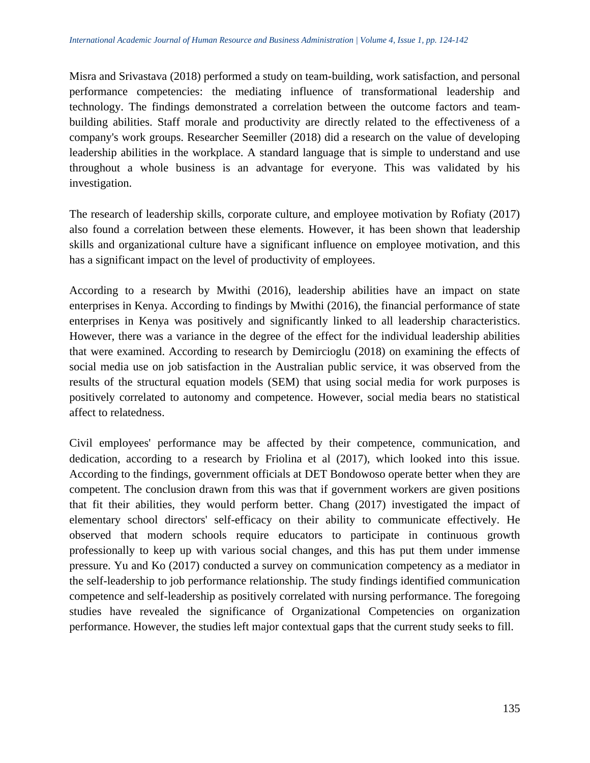Misra and Srivastava (2018) performed a study on team-building, work satisfaction, and personal performance competencies: the mediating influence of transformational leadership and technology. The findings demonstrated a correlation between the outcome factors and teambuilding abilities. Staff morale and productivity are directly related to the effectiveness of a company's work groups. Researcher Seemiller (2018) did a research on the value of developing leadership abilities in the workplace. A standard language that is simple to understand and use throughout a whole business is an advantage for everyone. This was validated by his investigation.

The research of leadership skills, corporate culture, and employee motivation by Rofiaty (2017) also found a correlation between these elements. However, it has been shown that leadership skills and organizational culture have a significant influence on employee motivation, and this has a significant impact on the level of productivity of employees.

According to a research by Mwithi (2016), leadership abilities have an impact on state enterprises in Kenya. According to findings by Mwithi (2016), the financial performance of state enterprises in Kenya was positively and significantly linked to all leadership characteristics. However, there was a variance in the degree of the effect for the individual leadership abilities that were examined. According to research by Demircioglu (2018) on examining the effects of social media use on job satisfaction in the Australian public service, it was observed from the results of the structural equation models (SEM) that using social media for work purposes is positively correlated to autonomy and competence. However, social media bears no statistical affect to relatedness.

Civil employees' performance may be affected by their competence, communication, and dedication, according to a research by Friolina et al (2017), which looked into this issue. According to the findings, government officials at DET Bondowoso operate better when they are competent. The conclusion drawn from this was that if government workers are given positions that fit their abilities, they would perform better. Chang (2017) investigated the impact of elementary school directors' self-efficacy on their ability to communicate effectively. He observed that modern schools require educators to participate in continuous growth professionally to keep up with various social changes, and this has put them under immense pressure. Yu and Ko (2017) conducted a survey on communication competency as a mediator in the self-leadership to job performance relationship. The study findings identified communication competence and self-leadership as positively correlated with nursing performance. The foregoing studies have revealed the significance of Organizational Competencies on organization performance. However, the studies left major contextual gaps that the current study seeks to fill.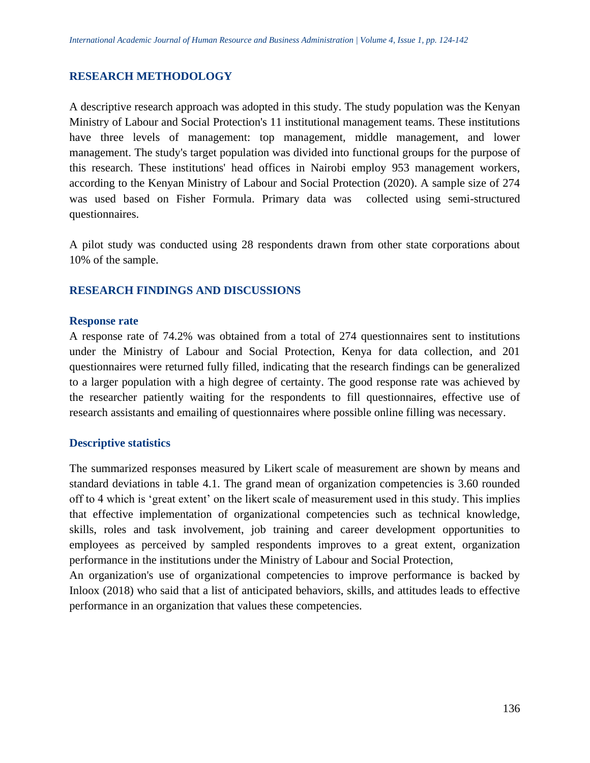### **RESEARCH METHODOLOGY**

A descriptive research approach was adopted in this study. The study population was the Kenyan Ministry of Labour and Social Protection's 11 institutional management teams. These institutions have three levels of management: top management, middle management, and lower management. The study's target population was divided into functional groups for the purpose of this research. These institutions' head offices in Nairobi employ 953 management workers, according to the Kenyan Ministry of Labour and Social Protection (2020). A sample size of 274 was used based on Fisher Formula. Primary data was collected using semi-structured questionnaires.

A pilot study was conducted using 28 respondents drawn from other state corporations about 10% of the sample.

## **RESEARCH FINDINGS AND DISCUSSIONS**

#### **Response rate**

A response rate of 74.2% was obtained from a total of 274 questionnaires sent to institutions under the Ministry of Labour and Social Protection, Kenya for data collection, and 201 questionnaires were returned fully filled, indicating that the research findings can be generalized to a larger population with a high degree of certainty. The good response rate was achieved by the researcher patiently waiting for the respondents to fill questionnaires, effective use of research assistants and emailing of questionnaires where possible online filling was necessary.

### **Descriptive statistics**

The summarized responses measured by Likert scale of measurement are shown by means and standard deviations in table 4.1. The grand mean of organization competencies is 3.60 rounded off to 4 which is 'great extent' on the likert scale of measurement used in this study. This implies that effective implementation of organizational competencies such as technical knowledge, skills, roles and task involvement, job training and career development opportunities to employees as perceived by sampled respondents improves to a great extent, organization performance in the institutions under the Ministry of Labour and Social Protection,

An organization's use of organizational competencies to improve performance is backed by Inloox (2018) who said that a list of anticipated behaviors, skills, and attitudes leads to effective performance in an organization that values these competencies.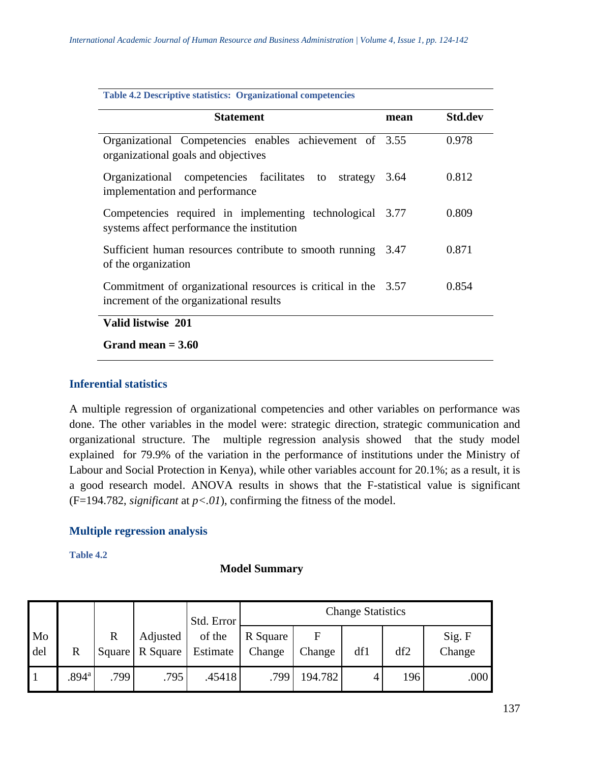| <b>Table 4.2 Descriptive statistics: Organizational competencies</b>                                      |      |                |  |  |  |  |  |
|-----------------------------------------------------------------------------------------------------------|------|----------------|--|--|--|--|--|
| <b>Statement</b>                                                                                          | mean | <b>Std.dev</b> |  |  |  |  |  |
| Organizational Competencies enables achievement of 3.55<br>organizational goals and objectives            |      | 0.978          |  |  |  |  |  |
| Organizational competencies facilitates to<br>strategy<br>implementation and performance                  | 3.64 | 0.812          |  |  |  |  |  |
| Competencies required in implementing technological 3.77<br>systems affect performance the institution    |      | 0.809          |  |  |  |  |  |
| Sufficient human resources contribute to smooth running 3.47<br>of the organization                       |      | 0.871          |  |  |  |  |  |
| Commitment of organizational resources is critical in the 3.57<br>increment of the organizational results |      | 0.854          |  |  |  |  |  |
| Valid listwise 201                                                                                        |      |                |  |  |  |  |  |
| Grand mean $= 3.60$                                                                                       |      |                |  |  |  |  |  |

## **Inferential statistics**

A multiple regression of organizational competencies and other variables on performance was done. The other variables in the model were: strategic direction, strategic communication and organizational structure. The multiple regression analysis showed that the study model explained for 79.9% of the variation in the performance of institutions under the Ministry of Labour and Social Protection in Kenya), while other variables account for 20.1%; as a result, it is a good research model. ANOVA results in shows that the F-statistical value is significant  $(F=194.782, significant at p<.01), confirming the fitness of the model.$ 

### **Multiple regression analysis**

**Table 4.2**

### **Model Summary**

|           |                   |                        |                      | Std. Error         | <b>Change Statistics</b> |             |     |     |                  |  |
|-----------|-------------------|------------------------|----------------------|--------------------|--------------------------|-------------|-----|-----|------------------|--|
| Mo<br>del | R                 | $\mathbb{R}$<br>Square | Adjusted<br>R Square | of the<br>Estimate | R Square<br>Change       | F<br>Change | df1 | df2 | Sig. F<br>Change |  |
| - 1       | .894 <sup>a</sup> | .799                   | .795                 | .45418             | .799                     | 194.782     | 4   | 196 | .000             |  |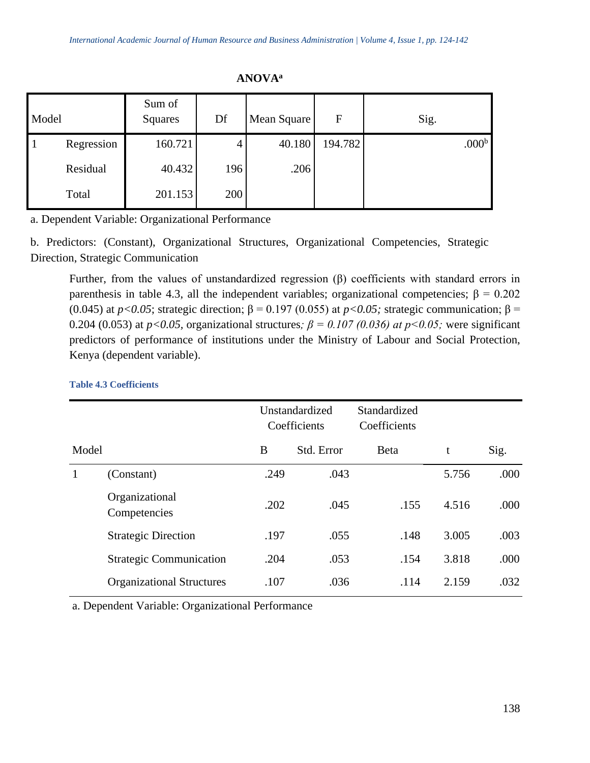| Model |            | Sum of<br>Squares | Df  | Mean Square | F       | Sig.              |
|-------|------------|-------------------|-----|-------------|---------|-------------------|
|       | Regression | 160.721           | 4   | 40.180      | 194.782 | .000 <sup>b</sup> |
|       | Residual   | 40.432            | 196 | .206        |         |                   |
|       | Total      | 201.153           | 200 |             |         |                   |

**ANOVA<sup>a</sup>**

a. Dependent Variable: Organizational Performance

b. Predictors: (Constant), Organizational Structures, Organizational Competencies, Strategic Direction, Strategic Communication

Further, from the values of unstandardized regression (β) coefficients with standard errors in parenthesis in table 4.3, all the independent variables; organizational competencies;  $\beta = 0.202$ (0.045) at  $p < 0.05$ ; strategic direction;  $\beta = 0.197$  (0.055) at  $p < 0.05$ ; strategic communication;  $\beta =$ 0.204 (0.053) at  $p < 0.05$ , organizational structures;  $\beta = 0.107$  (0.036) at  $p < 0.05$ ; were significant predictors of performance of institutions under the Ministry of Labour and Social Protection, Kenya (dependent variable).

|       |                                  | Unstandardized<br>Coefficients |            | Standardized<br>Coefficients |       |      |
|-------|----------------------------------|--------------------------------|------------|------------------------------|-------|------|
| Model |                                  | B                              | Std. Error | <b>B</b> eta                 | t     | Sig. |
| 1     | (Constant)                       | .249                           | .043       |                              | 5.756 | .000 |
|       | Organizational<br>Competencies   | .202                           | .045       | .155                         | 4.516 | .000 |
|       | <b>Strategic Direction</b>       | .197                           | .055       | .148                         | 3.005 | .003 |
|       | <b>Strategic Communication</b>   | .204                           | .053       | .154                         | 3.818 | .000 |
|       | <b>Organizational Structures</b> | .107                           | .036       | .114                         | 2.159 | .032 |

#### **Table 4.3 Coefficients**

a. Dependent Variable: Organizational Performance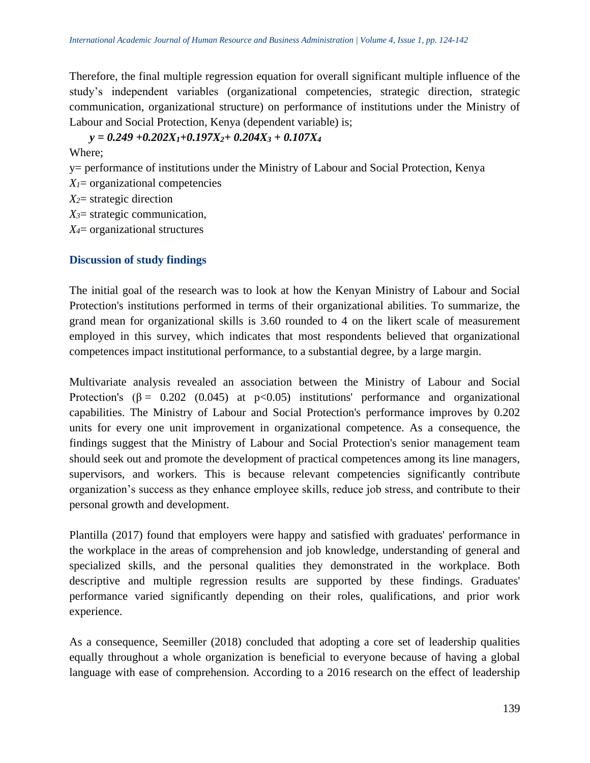Therefore, the final multiple regression equation for overall significant multiple influence of the study's independent variables (organizational competencies, strategic direction, strategic communication, organizational structure) on performance of institutions under the Ministry of Labour and Social Protection, Kenya (dependent variable) is;

*y = 0.249 +0.202X1+0.197X2+ 0.204X<sup>3</sup> + 0.107X<sup>4</sup>* Where; y= performance of institutions under the Ministry of Labour and Social Protection, Kenya  $X<sub>1</sub>$  = organizational competencies *X2*= strategic direction *X3*= strategic communication,

*X4*= organizational structures

### **Discussion of study findings**

The initial goal of the research was to look at how the Kenyan Ministry of Labour and Social Protection's institutions performed in terms of their organizational abilities. To summarize, the grand mean for organizational skills is 3.60 rounded to 4 on the likert scale of measurement employed in this survey, which indicates that most respondents believed that organizational competences impact institutional performance, to a substantial degree, by a large margin.

Multivariate analysis revealed an association between the Ministry of Labour and Social Protection's  $(\beta = 0.202 \ (0.045)$  at p<0.05) institutions' performance and organizational capabilities. The Ministry of Labour and Social Protection's performance improves by 0.202 units for every one unit improvement in organizational competence. As a consequence, the findings suggest that the Ministry of Labour and Social Protection's senior management team should seek out and promote the development of practical competences among its line managers, supervisors, and workers. This is because relevant competencies significantly contribute organization's success as they enhance employee skills, reduce job stress, and contribute to their personal growth and development.

Plantilla (2017) found that employers were happy and satisfied with graduates' performance in the workplace in the areas of comprehension and job knowledge, understanding of general and specialized skills, and the personal qualities they demonstrated in the workplace. Both descriptive and multiple regression results are supported by these findings. Graduates' performance varied significantly depending on their roles, qualifications, and prior work experience.

As a consequence, Seemiller (2018) concluded that adopting a core set of leadership qualities equally throughout a whole organization is beneficial to everyone because of having a global language with ease of comprehension. According to a 2016 research on the effect of leadership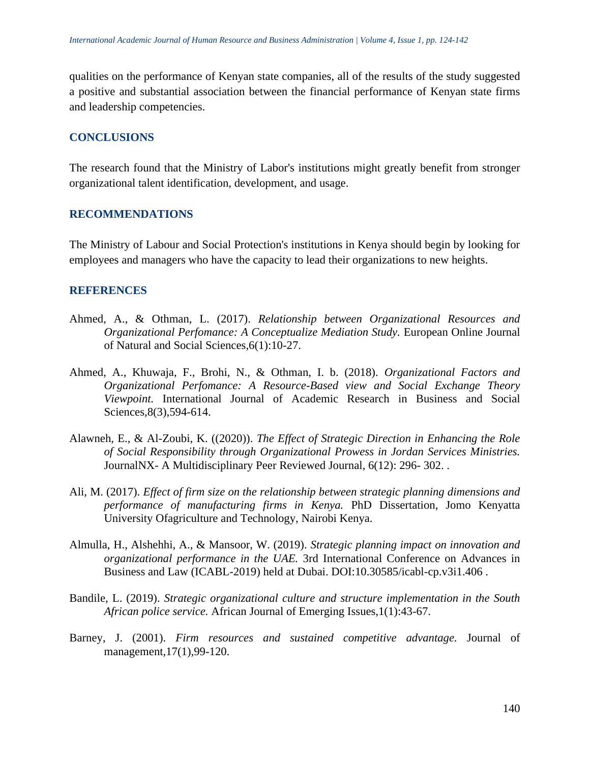qualities on the performance of Kenyan state companies, all of the results of the study suggested a positive and substantial association between the financial performance of Kenyan state firms and leadership competencies.

### **CONCLUSIONS**

The research found that the Ministry of Labor's institutions might greatly benefit from stronger organizational talent identification, development, and usage.

### **RECOMMENDATIONS**

The Ministry of Labour and Social Protection's institutions in Kenya should begin by looking for employees and managers who have the capacity to lead their organizations to new heights.

#### **REFERENCES**

- Ahmed, A., & Othman, L. (2017). *Relationship between Organizational Resources and Organizational Perfomance: A Conceptualize Mediation Study.* European Online Journal of Natural and Social Sciences,6(1):10-27.
- Ahmed, A., Khuwaja, F., Brohi, N., & Othman, I. b. (2018). *Organizational Factors and Organizational Perfomance: A Resource-Based view and Social Exchange Theory Viewpoint.* International Journal of Academic Research in Business and Social Sciences,8(3),594-614.
- Alawneh, E., & Al-Zoubi, K. ((2020)). *The Effect of Strategic Direction in Enhancing the Role of Social Responsibility through Organizational Prowess in Jordan Services Ministries.* JournalNX- A Multidisciplinary Peer Reviewed Journal, 6(12): 296- 302. .
- Ali, M. (2017). *Effect of firm size on the relationship between strategic planning dimensions and performance of manufacturing firms in Kenya.* PhD Dissertation, Jomo Kenyatta University Ofagriculture and Technology, Nairobi Kenya.
- Almulla, H., Alshehhi, A., & Mansoor, W. (2019). *Strategic planning impact on innovation and organizational performance in the UAE.* 3rd International Conference on Advances in Business and Law (ICABL-2019) held at Dubai. DOI:10.30585/icabl-cp.v3i1.406 .
- Bandile, L. (2019). *Strategic organizational culture and structure implementation in the South African police service.* African Journal of Emerging Issues,1(1):43-67.
- Barney, J. (2001). *Firm resources and sustained competitive advantage.* Journal of management,17(1),99-120.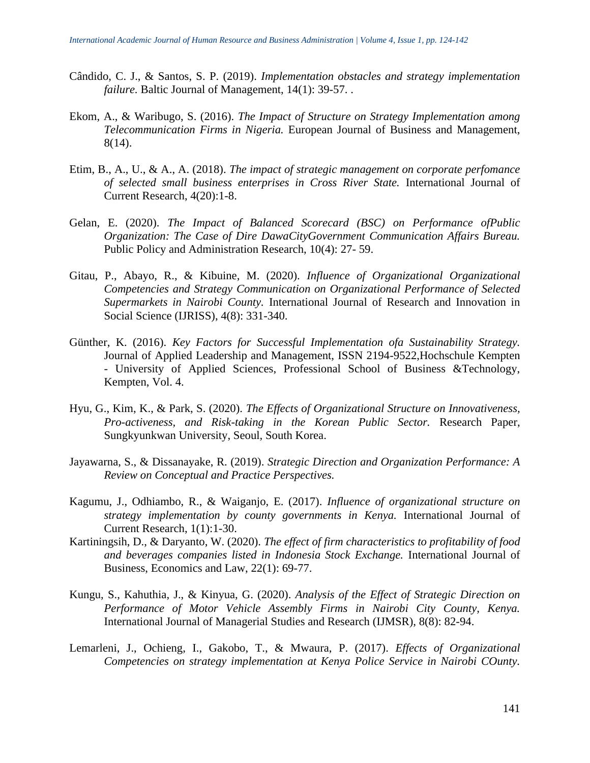- Cândido, C. J., & Santos, S. P. (2019). *Implementation obstacles and strategy implementation failure.* Baltic Journal of Management, 14(1): 39-57. .
- Ekom, A., & Waribugo, S. (2016). *The Impact of Structure on Strategy Implementation among Telecommunication Firms in Nigeria.* European Journal of Business and Management, 8(14).
- Etim, B., A., U., & A., A. (2018). *The impact of strategic management on corporate perfomance of selected small business enterprises in Cross River State.* International Journal of Current Research, 4(20):1-8.
- Gelan, E. (2020). *The Impact of Balanced Scorecard (BSC) on Performance ofPublic Organization: The Case of Dire DawaCityGovernment Communication Affairs Bureau.* Public Policy and Administration Research, 10(4): 27- 59.
- Gitau, P., Abayo, R., & Kibuine, M. (2020). *Influence of Organizational Organizational Competencies and Strategy Communication on Organizational Performance of Selected Supermarkets in Nairobi County.* International Journal of Research and Innovation in Social Science (IJRISS), 4(8): 331-340.
- Günther, K. (2016). *Key Factors for Successful Implementation ofa Sustainability Strategy.* Journal of Applied Leadership and Management, ISSN 2194-9522,Hochschule Kempten - University of Applied Sciences, Professional School of Business &Technology, Kempten, Vol. 4.
- Hyu, G., Kim, K., & Park, S. (2020). *The Effects of Organizational Structure on Innovativeness, Pro-activeness, and Risk-taking in the Korean Public Sector.* Research Paper, Sungkyunkwan University, Seoul, South Korea.
- Jayawarna, S., & Dissanayake, R. (2019). *Strategic Direction and Organization Performance: A Review on Conceptual and Practice Perspectives.*
- Kagumu, J., Odhiambo, R., & Waiganjo, E. (2017). *Influence of organizational structure on strategy implementation by county governments in Kenya.* International Journal of Current Research, 1(1):1-30.
- Kartiningsih, D., & Daryanto, W. (2020). *The effect of firm characteristics to profitability of food and beverages companies listed in Indonesia Stock Exchange.* International Journal of Business, Economics and Law, 22(1): 69-77.
- Kungu, S., Kahuthia, J., & Kinyua, G. (2020). *Analysis of the Effect of Strategic Direction on Performance of Motor Vehicle Assembly Firms in Nairobi City County, Kenya.* International Journal of Managerial Studies and Research (IJMSR), 8(8): 82-94.
- Lemarleni, J., Ochieng, I., Gakobo, T., & Mwaura, P. (2017). *Effects of Organizational Competencies on strategy implementation at Kenya Police Service in Nairobi COunty.*